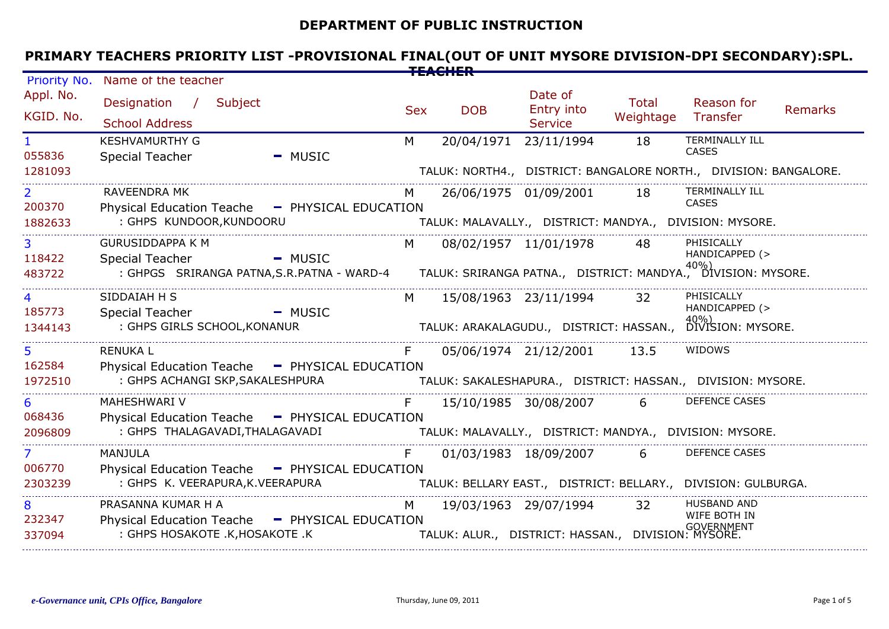# **DEPARTMENT OF PUBLIC INSTRUCTION**

# **PRIMARY TEACHERS PRIORITY LIST -PROVISIONAL FINAL(OUT OF UNIT MYSORE DIVISION-DPI SECONDARY):SPL.**

| <b>Priority No.</b>      | Name of the teacher                                                                                                              |            |            |                                         |                             |                                                                  |  |  |
|--------------------------|----------------------------------------------------------------------------------------------------------------------------------|------------|------------|-----------------------------------------|-----------------------------|------------------------------------------------------------------|--|--|
| Appl. No.<br>KGID. No.   | Designation / Subject<br><b>School Address</b>                                                                                   | <b>Sex</b> | <b>DOB</b> | Date of<br>Entry into<br><b>Service</b> | Total<br>Weightage Transfer | Reason for<br><b>Remarks</b>                                     |  |  |
| 055836                   | <b>KESHVAMURTHY G</b><br><b>Special Teacher</b><br>- MUSIC                                                                       | M          |            | 20/04/1971 23/11/1994                   | 18                          | <b>TERMINALLY ILL</b><br><b>CASES</b>                            |  |  |
| 1281093                  |                                                                                                                                  |            |            |                                         |                             | TALUK: NORTH4., DISTRICT: BANGALORE NORTH., DIVISION: BANGALORE. |  |  |
| $\overline{2}$<br>200370 | <b>RAVEENDRA MK</b><br>Physical Education Teache - PHYSICAL EDUCATION                                                            | M          |            | 26/06/1975 01/09/2001 18                |                             | TERMINALLY ILL<br>CASES                                          |  |  |
| 1882633                  | : GHPS KUNDOOR, KUNDOORU                                                                                                         |            |            |                                         |                             | TALUK: MALAVALLY., DISTRICT: MANDYA., DIVISION: MYSORE.          |  |  |
| $\overline{3}$<br>118422 | <b>GURUSIDDAPPA K M</b><br><b>Special Teacher</b><br>- MUSIC                                                                     | $M \sim$   |            | 08/02/1957 11/01/1978 48                |                             | PHISICALLY<br>HANDICAPPED (>                                     |  |  |
| 483722                   | ecial Teacher<br>GHPGS SRIRANGA PATNA,S.R.PATNA - WARD-4         TALUK: SRIRANGA PATNA.,   DISTRICT: MANDYA.,   DIVISION: MYSORE |            |            |                                         |                             |                                                                  |  |  |
| $\overline{4}$           | SIDDAIAH H S                                                                                                                     | M          |            | 15/08/1963 23/11/1994                   | 32                          | PHISICALLY<br>HANDICAPPED (>                                     |  |  |
| 185773<br>1344143        | <b>Special Teacher</b><br>- MUSIC<br>: GHPS GIRLS SCHOOL, KONANUR                                                                |            |            | TALUK: ARAKALAGUDU., DISTRICT: HASSAN., |                             | 40%)<br>DIVISION: MYSORE.                                        |  |  |
| 5 <sup>1</sup><br>162584 | RENUKA L<br>Physical Education Teache - PHYSICAL EDUCATION                                                                       | F.         |            | 05/06/1974 21/12/2001 13.5              |                             | WIDOWS                                                           |  |  |
| 1972510                  | : GHPS ACHANGI SKP,SAKALESHPURA                                                                                                  |            |            |                                         |                             | TALUK: SAKALESHAPURA., DISTRICT: HASSAN., DIVISION: MYSORE.      |  |  |
| 6                        | MAHESHWARI V                                                                                                                     | F          |            | 15/10/1985 30/08/2007                   | 6                           | <b>DEFENCE CASES</b>                                             |  |  |
| 068436<br>2096809        | Physical Education Teache - PHYSICAL EDUCATION<br>: GHPS THALAGAVADI,THALAGAVADI                                                 |            |            |                                         |                             | TALUK: MALAVALLY., DISTRICT: MANDYA., DIVISION: MYSORE.          |  |  |
| 7 <sup>1</sup><br>006770 | MANJULA                                                                                                                          | F          |            | 01/03/1983 18/09/2007                   | 6                           | <b>DEFENCE CASES</b>                                             |  |  |
| 2303239                  | Physical Education Teache - PHYSICAL EDUCATION<br>: GHPS K. VEERAPURA, K. VEERAPURA                                              |            |            |                                         |                             | TALUK: BELLARY EAST., DISTRICT: BELLARY., DIVISION: GULBURGA.    |  |  |
| 8<br>232347              | PRASANNA KUMAR H A<br>Physical Education Teache - PHYSICAL EDUCATION                                                             | M          |            | 19/03/1963 29/07/1994                   | 32                          | <b>HUSBAND AND</b><br>WIFE BOTH IN                               |  |  |
| 337094                   | : GHPS HOSAKOTE .K, HOSAKOTE .K                                                                                                  |            |            |                                         |                             |                                                                  |  |  |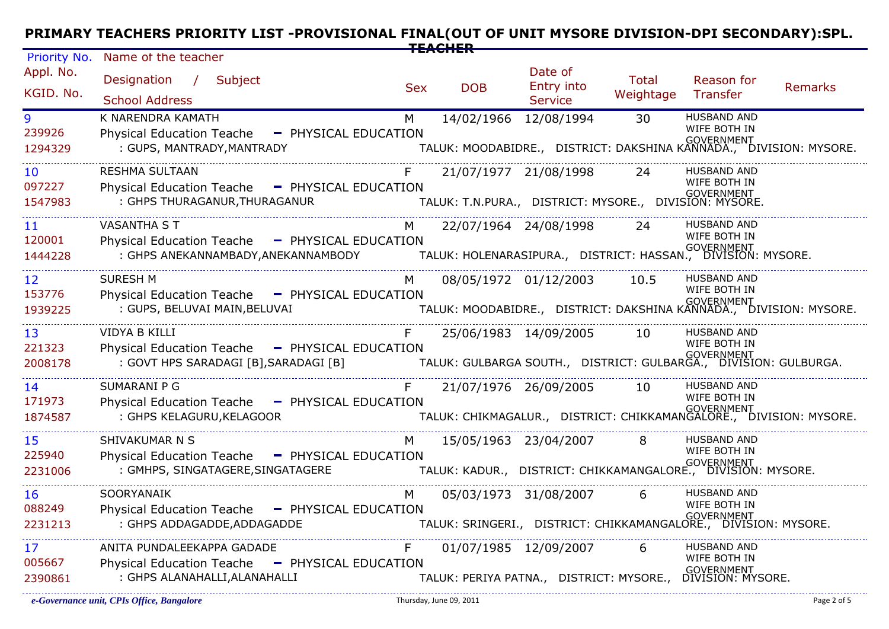# **PRIMARY TEACHERS PRIORITY LIST -PROVISIONAL FINAL(OUT OF UNIT MYSORE DIVISION-DPI SECONDARY):SPL. TEACHER**

| Priority No.                         | Name of the teacher                                                                                                     |            |                       |                                                                                                             |                    |                                                         |                                                                                        |
|--------------------------------------|-------------------------------------------------------------------------------------------------------------------------|------------|-----------------------|-------------------------------------------------------------------------------------------------------------|--------------------|---------------------------------------------------------|----------------------------------------------------------------------------------------|
| Appl. No.<br>KGID. No.               | Designation / Subject<br><b>School Address</b>                                                                          | <b>Sex</b> | <b>DOB</b>            | Date of<br>Entry into<br><b>Service</b>                                                                     | Total<br>Weightage | Reason for<br>Transfer                                  | <b>Remarks</b>                                                                         |
| 9<br>239926<br>1294329               | K NARENDRA KAMATH<br><b>Physical Education Teache</b><br>- PHYSICAL EDUCATION<br>: GUPS, MANTRADY, MANTRADY             | M          | 14/02/1966 12/08/1994 |                                                                                                             | 30                 | <b>HUSBAND AND</b><br>WIFE BOTH IN                      | overnment<br>TALUK: MOODABIDRE.,   DISTRICT: DAKSHINA KANNADA.,   DIVISION: MYSORE.    |
| $10^{-}$<br>097227<br>1547983        | <b>RESHMA SULTAAN</b><br>- PHYSICAL EDUCATION<br><b>Physical Education Teache</b><br>: GHPS THURAGANUR, THURAGANUR      | F          |                       | 21/07/1977 21/08/1998<br>TALUK: T.N.PURA., DISTRICT: MYSORE., DIVISION: MYSORE.                             | 24                 | <b>HUSBAND AND</b><br>WIFE BOTH IN<br><b>GOVERNMENT</b> |                                                                                        |
| 11<br>120001<br>1444228              | <b>VASANTHA ST</b><br>Physical Education Teache - PHYSICAL EDUCATION<br>: GHPS ANEKANNAMBADY,ANEKANNAMBODY              | M          |                       | 22/07/1964 24/08/1998<br>''<br>TALUK: HOLENARASIPURA.,   DISTRICT: HASSAN.,   DIVISION: MYSORE.             | 24                 | <b>HUSBAND AND</b><br>WIFE BOTH IN                      |                                                                                        |
| 12 <sup>2</sup><br>153776<br>1939225 | <b>SURESH M</b><br>Physical Education Teache - PHYSICAL EDUCATION<br>: GUPS, BELUVAI MAIN, BELUVAI                      |            |                       | 08/05/1972 01/12/2003                                                                                       | 10.5               | <b>HUSBAND AND</b><br>WIFE BOTH IN                      | י GOVERNMENT<br>TALUK: MOODABIDRE.,   DISTRICT: DAKSHINA KANNADA.,   DIVISION: MYSORE. |
| 13<br>221323<br>2008178              | VIDYA B KILLI<br>Physical Education Teache - PHYSICAL EDUCATION<br>: GOVT HPS SARADAGI [B], SARADAGI [B]                |            |                       | 25/06/1983 14/09/2005<br>GOVERNMENT<br>.TALUK: GULBARGA SOUTH.,   DISTRICT: GULBARGA.,   DIVISION: GULBURGA | 10                 | <b>HUSBAND AND</b><br>WIFE BOTH IN                      |                                                                                        |
| 14<br>171973<br>1874587              | SUMARANI P G<br>Physical Education Teache - PHYSICAL EDUCATION<br>: GHPS KELAGURU, KELAGOOR                             |            |                       | 21/07/1976 26/09/2005                                                                                       | 10                 | <b>HUSBAND AND</b><br>WIFE BOTH IN                      | overnment<br>TALUK: CHIKMAGALUR.,   DISTRICT: CHIKKAMANGALORE.,   DIVISION: MYSORE.    |
| 15 <sub>1</sub><br>225940<br>2231006 | SHIVAKUMAR N S<br>Physical Education Teache - PHYSICAL EDUCATION<br>: GMHPS, SINGATAGERE, SINGATAGERE                   | M          |                       | 15/05/1963 23/04/2007<br>''<br>TALUK: KADUR.,   DISTRICT: CHIKKAMANGALORE.,   DIVISION: MYSORE.             | 8                  | <b>HUSBAND AND</b><br>WIFE BOTH IN                      |                                                                                        |
| 16<br>088249<br>2231213              | SOORYANAIK<br><b>Physical Education Teache</b><br>- PHYSICAL EDUCATION<br>: GHPS ADDAGADDE, ADDAGADDE                   | M          | 05/03/1973 31/08/2007 | .<br>TALUK: SRINGERI.,    DISTRICT:  CHIKKAMANGALORE.,    DIVISION:  MYSORE.                                | 6                  | <b>HUSBAND AND</b><br>WIFE BOTH IN                      |                                                                                        |
| 17<br>005667<br>2390861              | ANITA PUNDALEEKAPPA GADADE<br>- PHYSICAL EDUCATION<br><b>Physical Education Teache</b><br>: GHPS ALANAHALLI, ALANAHALLI | F.         | 01/07/1985 12/09/2007 | s GOVERNMENT<br>TALUK: PERIYA PATNA.,   DISTRICT: MYSORE.,   DIVISION: MYSORE.                              | 6                  | <b>HUSBAND AND</b><br>WIFE BOTH IN                      |                                                                                        |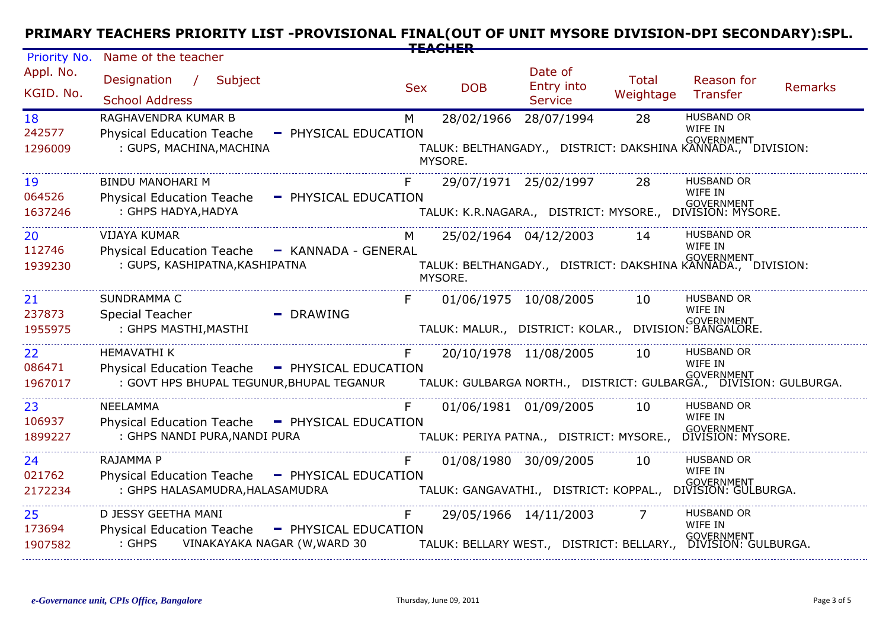#### Priority No. **PRIMARY TEACHERS PRIORITY LIST -PROVISIONAL FINAL(OUT OF UNIT MYSORE DIVISION-DPI SECONDARY):SPL. TEACHER**

| Priority No.            | Name of the teacher                                                                                               |            |                                  |                                                                     |                           |                                                                                                       |         |
|-------------------------|-------------------------------------------------------------------------------------------------------------------|------------|----------------------------------|---------------------------------------------------------------------|---------------------------|-------------------------------------------------------------------------------------------------------|---------|
| Appl. No.<br>KGID. No.  | Subject<br>Designation<br>$\frac{1}{2}$<br><b>School Address</b>                                                  | <b>Sex</b> | <b>DOB</b>                       | Date of<br>Entry into<br><b>Service</b>                             | <b>Total</b><br>Weightage | Reason for<br>Transfer                                                                                | Remarks |
| 18<br>242577<br>1296009 | RAGHAVENDRA KUMAR B<br><b>Physical Education Teache</b><br>- PHYSICAL EDUCATION<br>: GUPS, MACHINA, MACHINA       | M          | 28/02/1966 28/07/1994<br>MYSORE. |                                                                     | 28                        | <b>HUSBAND OR</b><br>WIFE IN<br>וא<br>TALUK: BELTHANGADY.,   DISTRICT: DAKSHINA KANNADA.,   DIVISION: |         |
| 19<br>064526<br>1637246 | <b>BINDU MANOHARI M</b><br><b>Physical Education Teache</b><br>- PHYSICAL EDUCATION<br>: GHPS HADYA, HADYA        |            | 29/07/1971 25/02/1997            |                                                                     | 28                        | <b>HUSBAND OR</b><br>WIFE IN<br>.<br>TALUK: K.R.NAGARA.,   DISTRICT: MYSORE.,    DIVISION: MYSORE.    |         |
| 20<br>112746<br>1939230 | <b>VIJAYA KUMAR</b><br>Physical Education Teache - KANNADA - GENERAL<br>: GUPS, KASHIPATNA, KASHIPATNA            | M          | 25/02/1964 04/12/2003<br>MYSORE. |                                                                     | 14                        | <b>HUSBAND OR</b><br>WIFE IN<br>-<br>TALUK: BELTHANGADY.,   DISTRICT: DAKSHINA KANNADA.,   DIVISION:  |         |
| 21<br>237873<br>1955975 | <b>SUNDRAMMA C</b><br>Special Teacher<br>$-$ DRAWING<br>: GHPS MASTHI, MASTHI                                     |            | 01/06/1975 10/08/2005            | GOVERNMENT<br>TALUK: MALUR., DISTRICT: KOLAR., DIVISION: BANGALORE. | 10                        | <b>HUSBAND OR</b><br>WIFE IN                                                                          |         |
| 22<br>086471<br>1967017 | <b>HEMAVATHI K</b><br>Physical Education Teache - PHYSICAL EDUCATION<br>: GOVT HPS BHUPAL TEGUNUR, BHUPAL TEGANUR |            | 20/10/1978 11/08/2005            |                                                                     | 10                        | <b>HUSBAND OR</b><br>WIFE IN                                                                          |         |
| 23<br>106937<br>1899227 | <b>NEELAMMA</b><br>Physical Education Teache - PHYSICAL EDUCATION<br>: GHPS NANDI PURA, NANDI PURA                |            | 01/06/1981 01/09/2005            | TALUK: PERIYA PATNA., DISTRICT: MYSORE.,                            | 10                        | <b>HUSBAND OR</b><br>WIFE IN<br>GOVERNMENT<br>DIVISION: MYSORE.                                       |         |
| 24<br>021762<br>2172234 | RAJAMMA P<br>Physical Education Teache - PHYSICAL EDUCATION<br>: GHPS HALASAMUDRA, HALASAMUDRA                    |            | 01/08/1980 30/09/2005            |                                                                     | 10                        | <b>HUSBAND OR</b><br>WIFE IN<br>、<br>TALUK: GANGAVATHI.,    DISTRICT: KOPPAL.,    DIVISION: GULBURGA. |         |
| 25<br>173694<br>1907582 | D JESSY GEETHA MANI<br>Physical Education Teache - PHYSICAL EDUCATION<br>: GHPS VINAKAYAKA NAGAR (W, WARD 30      |            | 29/05/1966 14/11/2003            |                                                                     |                           | <b>HUSBAND OR</b><br>WIFE IN                                                                          |         |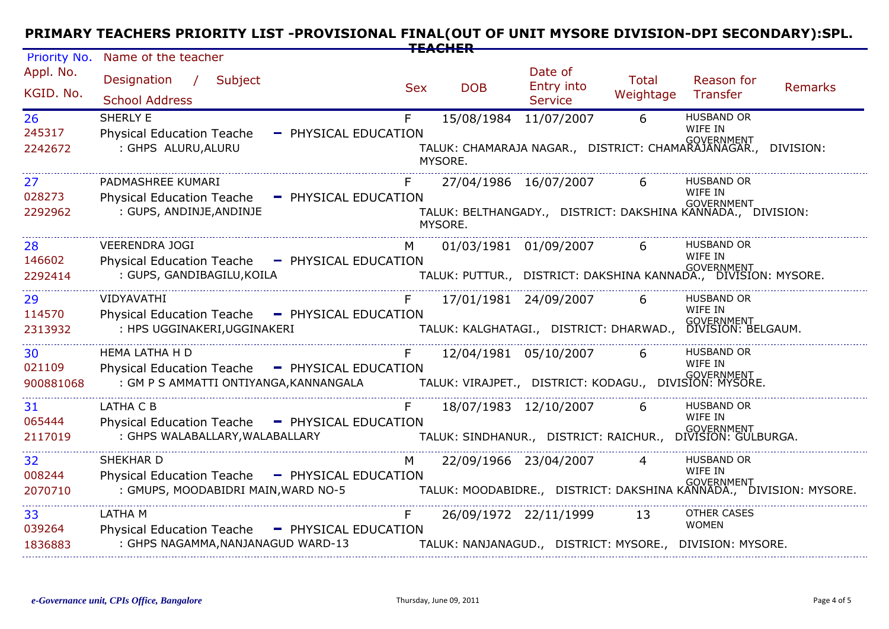# **PRIMARY TEACHERS PRIORITY LIST -PROVISIONAL FINAL(OUT OF UNIT MYSORE DIVISION-DPI SECONDARY):SPL. TEACHER**

| Priority No.              | Name of the teacher                                                                                               |                            |                                  |                                                                                                |                    |                                                                   |                                                                                     |
|---------------------------|-------------------------------------------------------------------------------------------------------------------|----------------------------|----------------------------------|------------------------------------------------------------------------------------------------|--------------------|-------------------------------------------------------------------|-------------------------------------------------------------------------------------|
| Appl. No.<br>KGID. No.    | Designation<br>$\mathcal{L}$<br>Subject<br><b>School Address</b>                                                  | <b>Sex</b>                 | <b>DOB</b>                       | Date of<br><b>Entry into</b><br><b>Service</b>                                                 | Total<br>Weightage | Reason for<br>Transfer                                            | Remarks                                                                             |
| 26<br>245317<br>2242672   | <b>SHERLY E</b><br><b>Physical Education Teache</b><br>: GHPS ALURU, ALURU                                        | F.<br>- PHYSICAL EDUCATION | 15/08/1984 11/07/2007<br>MYSORE. | י<br>TALUK: CHAMARAJA NAGAR.,   DISTRICT: CHAMARAJANAGAR.,   DIVISION:                         | 6                  | <b>HUSBAND OR</b><br>WIFE IN                                      |                                                                                     |
| 27<br>028273<br>2292962   | PADMASHREE KUMARI<br><b>Physical Education Teache</b><br>: GUPS, ANDINJE, ANDINJE                                 | - PHYSICAL EDUCATION       | MYSORE.                          | 27/04/1986 16/07/2007<br>۰۰<br>TALUK: BELTHANGADY.,   DISTRICT: DAKSHINA KANNADA.,   DIVISION: | 6                  | <b>HUSBAND OR</b><br>WIFE IN                                      |                                                                                     |
| 28<br>146602<br>2292414   | <b>VEERENDRA JOGI</b><br>Physical Education Teache - PHYSICAL EDUCATION<br>: GUPS, GANDIBAGILU, KOILA             | М                          | 01/03/1981 01/09/2007            | IN GOVERNMENT<br>TALUK: PUTTUR.,   DISTRICT: DAKSHINA KANNADA.,   DIVISION: MYSORE.            | 6                  | <b>HUSBAND OR</b><br>WIFE IN                                      |                                                                                     |
| 29<br>114570<br>2313932   | VIDYAVATHI<br>Physical Education Teache - PHYSICAL EDUCATION<br>: HPS UGGINAKERI, UGGINAKERI                      |                            | 17/01/1981 24/09/2007            | <br>TALUK: KALGHATAGI.,   DISTRICT: DHARWAD.,   DIVISION: BELGAUM.                             | 6                  | <b>HUSBAND OR</b><br>WIFF IN                                      |                                                                                     |
| 30<br>021109<br>900881068 | <b>HEMA LATHA H D</b><br>Physical Education Teache - PHYSICAL EDUCATION<br>: GM P S AMMATTI ONTIYANGA, KANNANGALA |                            | 12/04/1981 05/10/2007            | <br>TALUK: VIRAJPET.,   DISTRICT: KODAGU.,   DIVISION: MYSORE.                                 | 6                  | <b>HUSBAND OR</b><br>WIFE IN                                      |                                                                                     |
| 31<br>065444<br>2117019   | LATHA C B<br>Physical Education Teache - PHYSICAL EDUCATION<br>: GHPS WALABALLARY, WALABALLARY                    | F.                         | 18/07/1983 12/10/2007            | TALUK: SINDHANUR., DISTRICT: RAICHUR.,                                                         | 6                  | <b>HUSBAND OR</b><br>WIFE IN<br>GOVERNMENT<br>DIVISION: GULBURGA. |                                                                                     |
| 32<br>008244<br>2070710   | SHEKHAR D<br>Physical Education Teache - PHYSICAL EDUCATION<br>: GMUPS, MOODABIDRI MAIN, WARD NO-5                | M                          | 22/09/1966 23/04/2007            |                                                                                                | 4                  | <b>HUSBAND OR</b><br>WIFF IN                                      | overnment<br>TALUK: MOODABIDRE.,   DISTRICT: DAKSHINA KANNADA.,   DIVISION: MYSORE. |
| 33<br>039264<br>1836883   | LATHA M<br>Physical Education Teache - PHYSICAL EDUCATION<br>: GHPS NAGAMMA, NANJANAGUD WARD-13                   | F.                         |                                  | 26/09/1972 22/11/1999<br>TALUK: NANJANAGUD., DISTRICT: MYSORE., DIVISION: MYSORE.              | 13                 | <b>OTHER CASES</b><br><b>WOMEN</b>                                |                                                                                     |